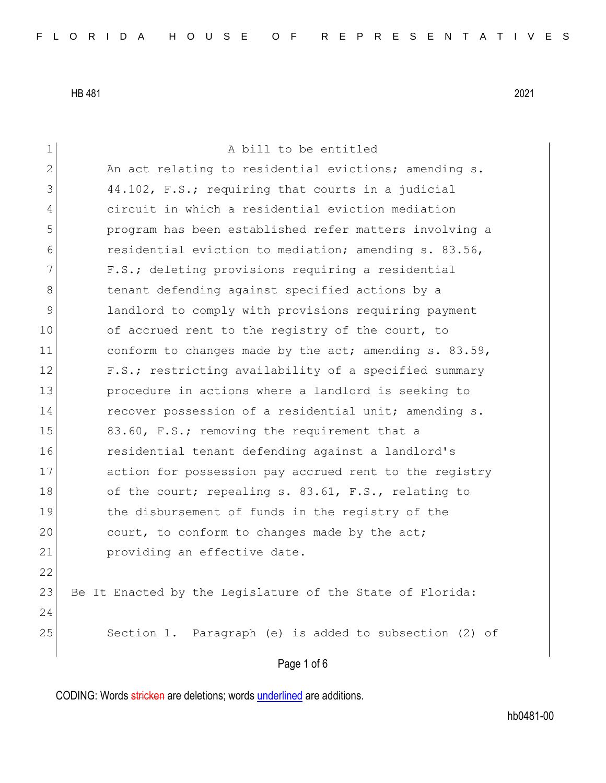| $\mathbf 1$  | A bill to be entitled                                     |
|--------------|-----------------------------------------------------------|
| $\mathbf{2}$ | An act relating to residential evictions; amending s.     |
| 3            | 44.102, F.S.; requiring that courts in a judicial         |
| 4            | circuit in which a residential eviction mediation         |
| 5            | program has been established refer matters involving a    |
| 6            | residential eviction to mediation; amending s. 83.56,     |
| 7            | F.S.; deleting provisions requiring a residential         |
| $8\,$        | tenant defending against specified actions by a           |
| $\mathsf 9$  | landlord to comply with provisions requiring payment      |
| 10           | of accrued rent to the registry of the court, to          |
| 11           | conform to changes made by the act; amending s. 83.59,    |
| 12           | F.S.; restricting availability of a specified summary     |
| 13           | procedure in actions where a landlord is seeking to       |
| 14           | recover possession of a residential unit; amending s.     |
| 15           | 83.60, F.S.; removing the requirement that a              |
| 16           | residential tenant defending against a landlord's         |
| 17           | action for possession pay accrued rent to the registry    |
| 18           | of the court; repealing s. 83.61, F.S., relating to       |
| 19           | the disbursement of funds in the registry of the          |
| 20           | court, to conform to changes made by the act;             |
| 21           | providing an effective date.                              |
| 22           |                                                           |
| 23           | Be It Enacted by the Legislature of the State of Florida: |
| 24           |                                                           |
| 25           | Section 1. Paragraph (e) is added to subsection (2) of    |
|              | Page 1 of 6                                               |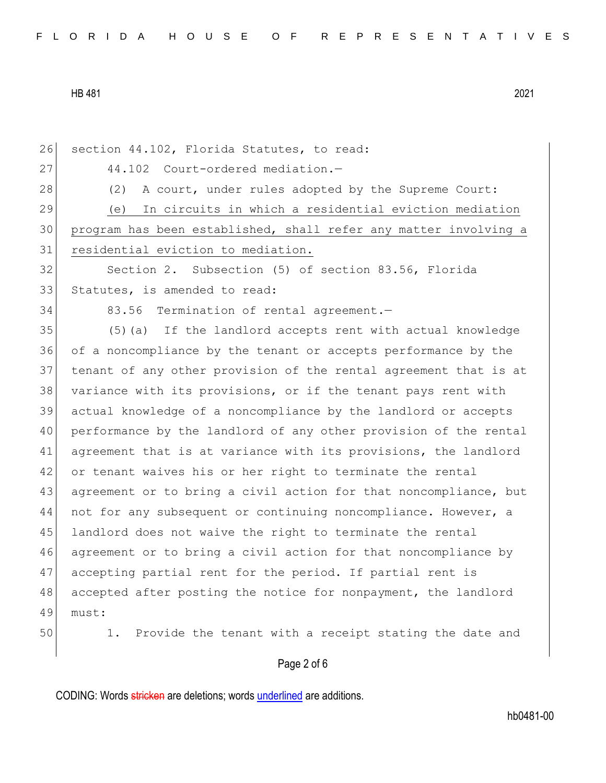26 section 44.102, Florida Statutes, to read: 27 44.102 Court-ordered mediation. 28 (2) A court, under rules adopted by the Supreme Court: 29 (e) In circuits in which a residential eviction mediation 30 program has been established, shall refer any matter involving a 31 residential eviction to mediation. 32 Section 2. Subsection (5) of section 83.56, Florida 33 Statutes, is amended to read: 34 83.56 Termination of rental agreement. 35 (5)(a) If the landlord accepts rent with actual knowledge 36 of a noncompliance by the tenant or accepts performance by the 37 tenant of any other provision of the rental agreement that is at 38 variance with its provisions, or if the tenant pays rent with 39 actual knowledge of a noncompliance by the landlord or accepts 40 performance by the landlord of any other provision of the rental 41 agreement that is at variance with its provisions, the landlord 42 or tenant waives his or her right to terminate the rental 43 agreement or to bring a civil action for that noncompliance, but 44 not for any subsequent or continuing noncompliance. However, a 45 landlord does not waive the right to terminate the rental 46 agreement or to bring a civil action for that noncompliance by 47 accepting partial rent for the period. If partial rent is 48 accepted after posting the notice for nonpayment, the landlord 49 must: 50 1. Provide the tenant with a receipt stating the date and

## Page 2 of 6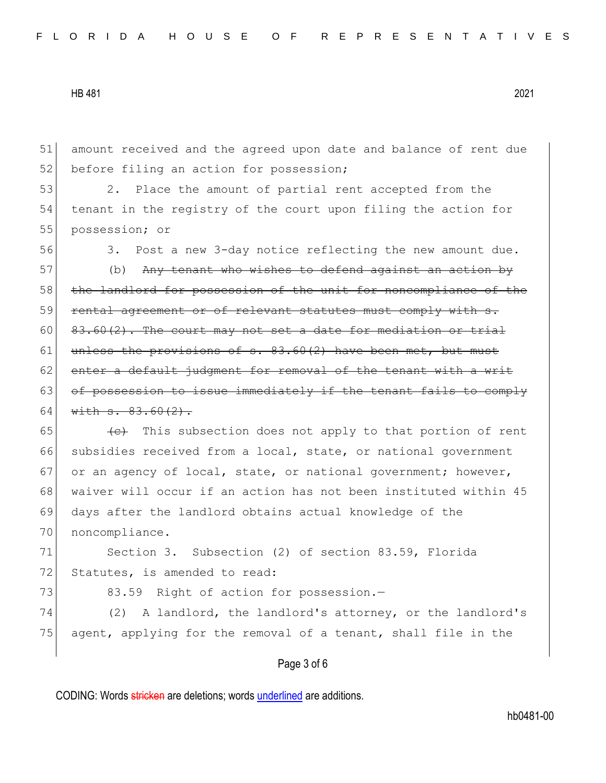51 amount received and the agreed upon date and balance of rent due 52 before filing an action for possession;

53 2. Place the amount of partial rent accepted from the 54 tenant in the registry of the court upon filing the action for 55 possession; or

56 3. Post a new 3-day notice reflecting the new amount due.

57 (b) Any tenant who wishes to defend against an action by 58 the landlord for possession of the unit for noncompliance of the 59 rental agreement or of relevant statutes must comply with s. 60  $\left[ \begin{array}{cc} 83.60(2)$ . The court may not set a date for mediation or trial 61 unless the provisions of  $s. 83.60(2)$  have been met, but must 62 enter a default judgment for removal of the tenant with a writ 63 of possession to issue immediately if the tenant fails to comply 64 with  $s. 83.60(2)$ .

 $65$  (c) This subsection does not apply to that portion of rent 66 subsidies received from a local, state, or national government 67 or an agency of local, state, or national government; however, 68 waiver will occur if an action has not been instituted within 45 69 days after the landlord obtains actual knowledge of the 70 noncompliance.

71 Section 3. Subsection (2) of section 83.59, Florida 72 Statutes, is amended to read:

73 83.59 Right of action for possession.-

74 (2) A landlord, the landlord's attorney, or the landlord's 75 agent, applying for the removal of a tenant, shall file in the

## Page 3 of 6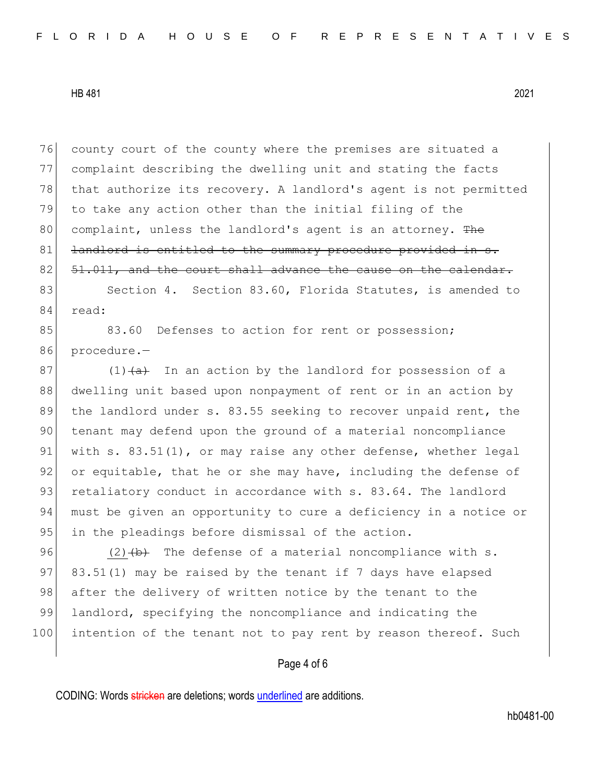76 county court of the county where the premises are situated a 77 complaint describing the dwelling unit and stating the facts 78 that authorize its recovery. A landlord's agent is not permitted 79 to take any action other than the initial filing of the 80 complaint, unless the landlord's agent is an attorney. The 81 <del>landlord is entitled to the summary procedure provided in s.</del>  $82$   $51.011$ , and the court shall advance the cause on the calendar.

83 Section 4. Section 83.60, Florida Statutes, is amended to 84 read:

85 83.60 Defenses to action for rent or possession; 86 procedure.-

 $87$  (1) $\left(\frac{a}{b}\right)$  In an action by the landlord for possession of a 88 dwelling unit based upon nonpayment of rent or in an action by 89 the landlord under s. 83.55 seeking to recover unpaid rent, the 90 tenant may defend upon the ground of a material noncompliance 91 with s. 83.51(1), or may raise any other defense, whether legal 92 or equitable, that he or she may have, including the defense of 93 retaliatory conduct in accordance with s. 83.64. The landlord 94 must be given an opportunity to cure a deficiency in a notice or 95 in the pleadings before dismissal of the action.

96 (2) $\leftrightarrow$  The defense of a material noncompliance with s. 97 83.51(1) may be raised by the tenant if 7 days have elapsed 98 after the delivery of written notice by the tenant to the 99 landlord, specifying the noncompliance and indicating the 100 intention of the tenant not to pay rent by reason thereof. Such

## Page 4 of 6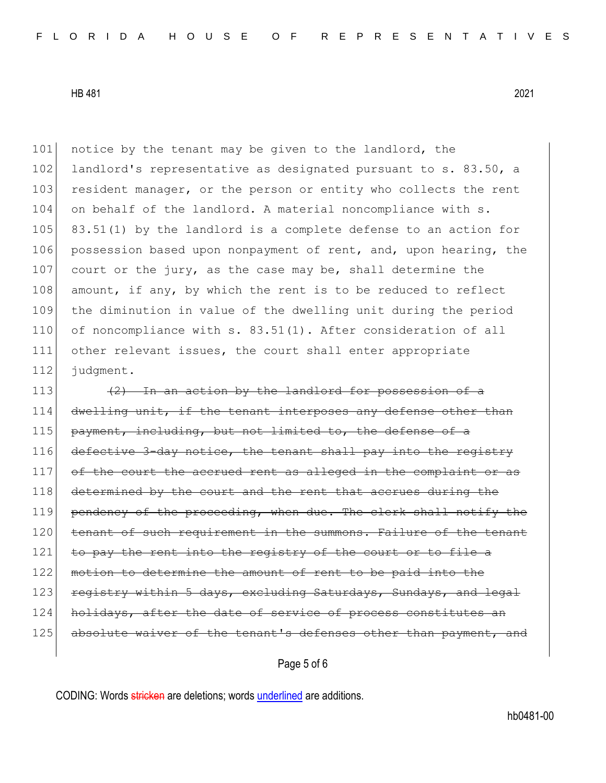101 notice by the tenant may be given to the landlord, the 102 landlord's representative as designated pursuant to s. 83.50, a 103 resident manager, or the person or entity who collects the rent 104 on behalf of the landlord. A material noncompliance with s. 105 83.51(1) by the landlord is a complete defense to an action for 106 possession based upon nonpayment of rent, and, upon hearing, the 107 court or the jury, as the case may be, shall determine the 108 amount, if any, by which the rent is to be reduced to reflect 109 the diminution in value of the dwelling unit during the period 110 of noncompliance with s. 83.51(1). After consideration of all 111 other relevant issues, the court shall enter appropriate 112 judgment.

113  $(2)$  In an action by the landlord for possession of a 114 dwelling unit, if the tenant interposes any defense other than  $115$  payment, including, but not limited to, the defense of a 116 defective 3-day notice, the tenant shall pay into the registry  $117$  of the court the accrued rent as alleged in the complaint 118 determined by the court and the rent that accrues during the 119 pendency of the proceeding, when due. The clerk shall notify the 120 tenant of such requirement in the summons. Failure of the tenant 121 to pay the rent into the registry of the court or to file a 122 motion to determine the amount of rent to be paid into the 123 registry within 5 days, excluding Saturdays, Sundays, and legal 124 holidays, after the date of service of process constitutes an 125 absolute waiver of the tenant's defenses other than payment, and

Page 5 of 6